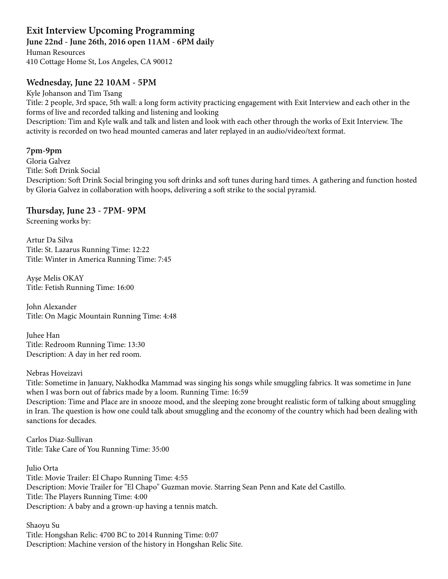# **Exit Interview Upcoming Programming**

**June 22nd - June 26th, 2016 open 11AM - 6PM daily** 

Human Resources 410 Cottage Home St, Los Angeles, CA 90012

## **Wednesday, June 22 10AM - 5PM**

Kyle Johanson and Tim Tsang Title: 2 people, 3rd space, 5th wall: a long form activity practicing engagement with Exit Interview and each other in the forms of live and recorded talking and listening and looking Description: Tim and Kyle walk and talk and listen and look with each other through the works of Exit Interview. The activity is recorded on two head mounted cameras and later replayed in an audio/video/text format.

## **7pm-9pm**

Gloria Galvez Title: Soft Drink Social Description: Soft Drink Social bringing you soft drinks and soft tunes during hard times. A gathering and function hosted by Gloria Galvez in collaboration with hoops, delivering a soft strike to the social pyramid.

## **Tursday, June 23 - 7PM- 9PM**

Screening works by:

Artur Da Silva Title: St. Lazarus Running Time: 12:22 Title: Winter in America Running Time: 7:45

Ayşe Melis OKAY Title: Fetish Running Time: 16:00

John Alexander Title: On Magic Mountain Running Time: 4:48

Juhee Han Title: Redroom Running Time: 13:30 Description: A day in her red room.

#### Nebras Hoveizavi

Title: Sometime in January, Nakhodka Mammad was singing his songs while smuggling fabrics. It was sometime in June when I was born out of fabrics made by a loom. Running Time: 16:59

Description: Time and Place are in snooze mood, and the sleeping zone brought realistic form of talking about smuggling in Iran. The question is how one could talk about smuggling and the economy of the country which had been dealing with sanctions for decades.

Carlos Diaz-Sullivan Title: Take Care of You Running Time: 35:00

Julio Orta Title: Movie Trailer: El Chapo Running Time: 4:55 Description: Movie Trailer for "El Chapo" Guzman movie. Starring Sean Penn and Kate del Castillo. Title: The Players Running Time: 4:00 Description: A baby and a grown-up having a tennis match.

Shaoyu Su Title: Hongshan Relic: 4700 BC to 2014 Running Time: 0:07 Description: Machine version of the history in Hongshan Relic Site.